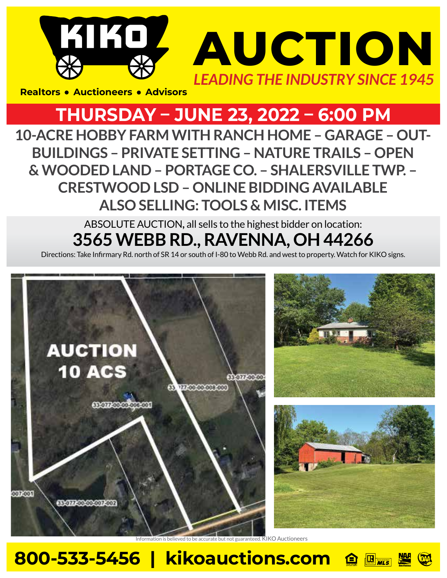# KIKOZ **AUCTION** *LEADING THE INDUSTRY SINCE 1945*

**Realtors • Auctioneers • Advisors** 

### **THURSDAY – JUNE 23, 2022 – 6:00 PM**

**10-ACRE HOBBY FARM WITH RANCH HOME – GARAGE – OUT-BUILDINGS – PRIVATE SETTING – NATURE TRAILS – OPEN & WOODED LAND – PORTAGE CO. – SHALERSVILLE TWP. – CRESTWOOD LSD – ONLINE BIDDING AVAILABLE ALSO SELLING: TOOLS & MISC. ITEMS**

> ABSOLUTE AUCTION**,** all sells to the highest bidder on location: **3565 WEBB RD., RAVENNA, OH 44266**

Directions: Take Infirmary Rd. north of SR 14 or south of I-80 to Webb Rd. and west to property. Watch for KIKO signs.



elieved to be accurate but not guaranteed. KIKO Auctioneers

#### **800-533-5456 | kikoauctions.com**